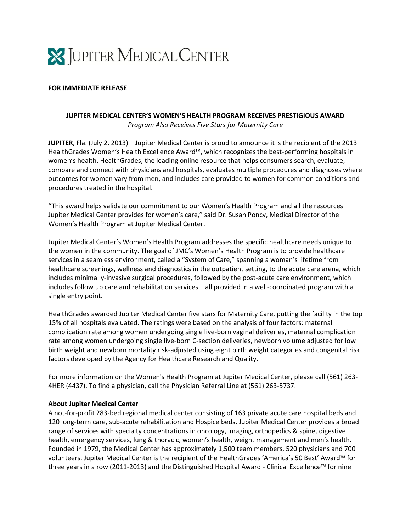

## **FOR IMMEDIATE RELEASE**

## **JUPITER MEDICAL CENTER'S WOMEN'S HEALTH PROGRAM RECEIVES PRESTIGIOUS AWARD** *Program Also Receives Five Stars for Maternity Care*

**JUPITER**, Fla. (July 2, 2013) – Jupiter Medical Center is proud to announce it is the recipient of the 2013 HealthGrades Women's Health Excellence Award™, which recognizes the best-performing hospitals in women's health. HealthGrades, the leading online resource that helps consumers search, evaluate, compare and connect with physicians and hospitals, evaluates multiple procedures and diagnoses where outcomes for women vary from men, and includes care provided to women for common conditions and procedures treated in the hospital.

"This award helps validate our commitment to our Women's Health Program and all the resources Jupiter Medical Center provides for women's care," said Dr. Susan Poncy, Medical Director of the Women's Health Program at Jupiter Medical Center.

Jupiter Medical Center's Women's Health Program addresses the specific healthcare needs unique to the women in the community. The goal of JMC's Women's Health Program is to provide healthcare services in a seamless environment, called a "System of Care," spanning a woman's lifetime from healthcare screenings, wellness and diagnostics in the outpatient setting, to the acute care arena, which includes minimally-invasive surgical procedures, followed by the post-acute care environment, which includes follow up care and rehabilitation services – all provided in a well-coordinated program with a single entry point.

HealthGrades awarded Jupiter Medical Center five stars for Maternity Care, putting the facility in the top 15% of all hospitals evaluated. The ratings were based on the analysis of four factors: maternal complication rate among women undergoing single live-born vaginal deliveries, maternal complication rate among women undergoing single live-born C-section deliveries, newborn volume adjusted for low birth weight and newborn mortality risk-adjusted using eight birth weight categories and congenital risk factors developed by the Agency for Healthcare Research and Quality.

For more information on the Women's Health Program at Jupiter Medical Center, please call (561) 263- 4HER (4437). To find a physician, call the Physician Referral Line at (561) 263-5737.

## **About Jupiter Medical Center**

A not-for-profit 283-bed regional medical center consisting of 163 private acute care hospital beds and 120 long-term care, sub-acute rehabilitation and Hospice beds, Jupiter Medical Center provides a broad range of services with specialty concentrations in oncology, imaging, orthopedics & spine, digestive health, emergency services, lung & thoracic, women's health, weight management and men's health. Founded in 1979, the Medical Center has approximately 1,500 team members, 520 physicians and 700 volunteers. Jupiter Medical Center is the recipient of the HealthGrades 'America's 50 Best' Award™ for three years in a row (2011-2013) and the Distinguished Hospital Award - Clinical Excellence™ for nine